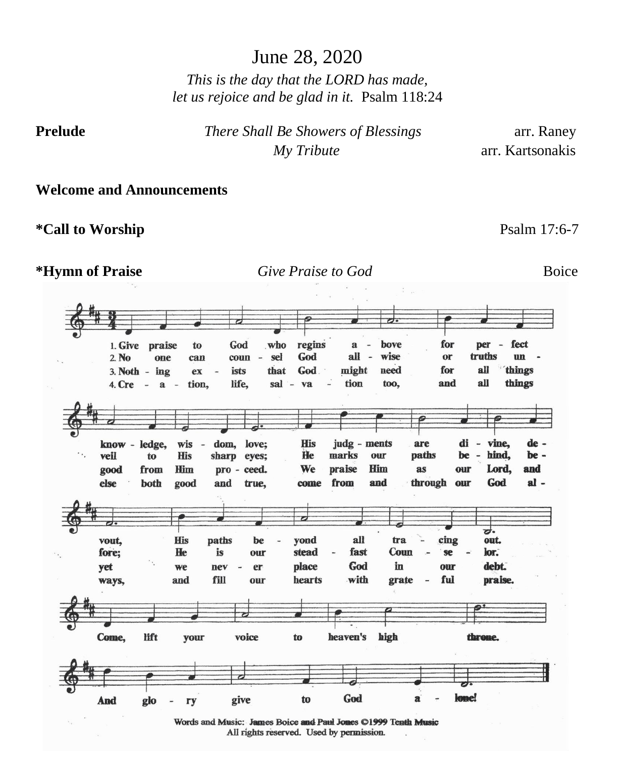*This is the day that the LORD has made, let us rejoice and be glad in it.* Psalm 118:24

**Prelude** *There Shall Be Showers of Blessings* arr. Raney  *My Tribute* arr. Kartsonakis

**Welcome and Announcements**

**\*Call to Worship** Psalm 17:6-7

#### **\*Hymn of Praise** *Give Praise to God* Boice





Words and Music: James Boice and Paul Jones ©1999 Tenth Music All rights reserved. Used by permission.

June 28, 2020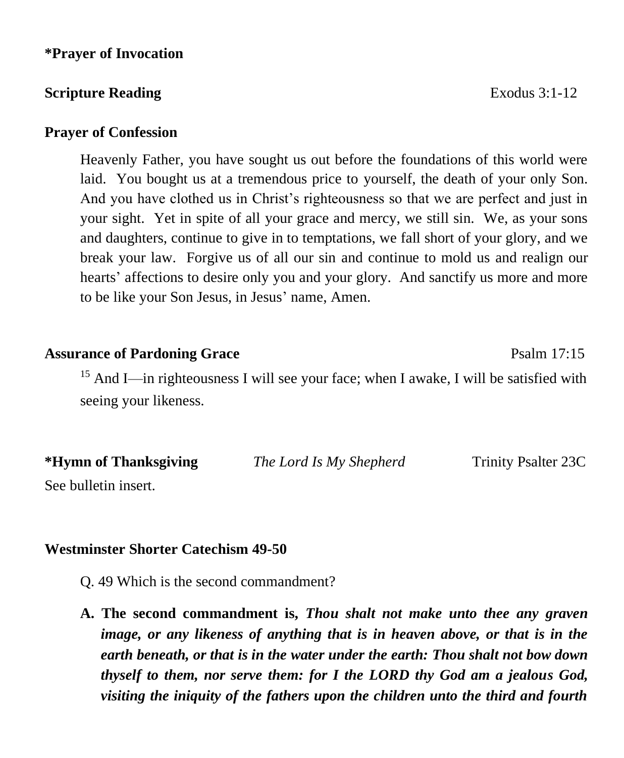#### **\*Prayer of Invocation**

#### **Scripture Reading Exodus 3:1-12**

#### **Prayer of Confession**

Heavenly Father, you have sought us out before the foundations of this world were laid. You bought us at a tremendous price to yourself, the death of your only Son. And you have clothed us in Christ's righteousness so that we are perfect and just in your sight. Yet in spite of all your grace and mercy, we still sin. We, as your sons and daughters, continue to give in to temptations, we fall short of your glory, and we break your law. Forgive us of all our sin and continue to mold us and realign our hearts' affections to desire only you and your glory. And sanctify us more and more to be like your Son Jesus, in Jesus' name, Amen.

#### **Assurance of Pardoning Grace** Psalm 17:15

<sup>15</sup> And I—in righteousness I will see your face; when I awake, I will be satisfied with seeing your likeness.

| *Hymn of Thanksgiving | The Lord Is My Shepherd | <b>Trinity Psalter 23C</b> |
|-----------------------|-------------------------|----------------------------|
| See bulletin insert.  |                         |                            |

#### **Westminster Shorter Catechism 49-50**

- Q. 49 Which is the second commandment?
- **A. The second commandment is,** *Thou shalt not make unto thee any graven image, or any likeness of anything that is in heaven above, or that is in the earth beneath, or that is in the water under the earth: Thou shalt not bow down thyself to them, nor serve them: for I the LORD thy God am a jealous God, visiting the iniquity of the fathers upon the children unto the third and fourth*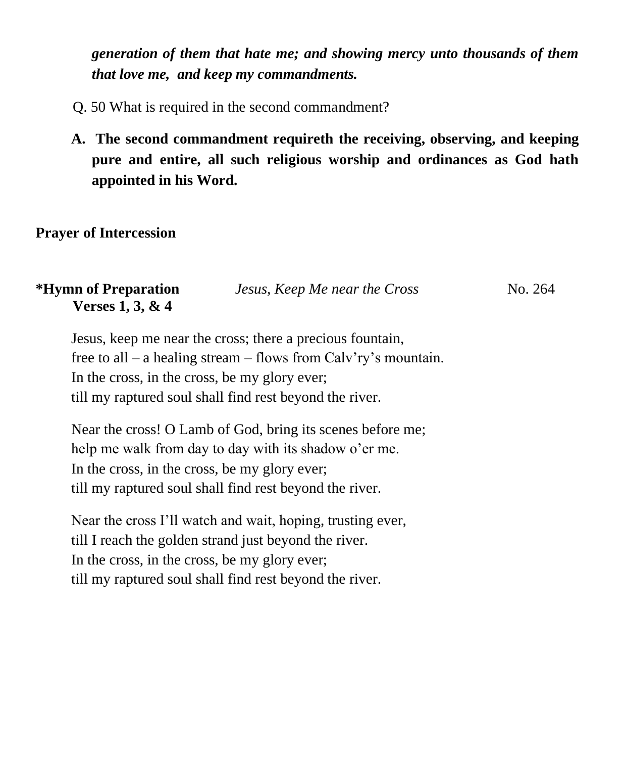*generation of them that hate me; and showing mercy unto thousands of them that love me, and keep my commandments.*

- Q. 50 What is required in the second commandment?
- **A. The second commandment requireth the receiving, observing, and keeping pure and entire, all such religious worship and ordinances as God hath appointed in his Word.**

#### **Prayer of Intercession**

| <i><b>*Hymn of Preparation</b></i> | Jesus, Keep Me near the Cross | No. 264 |
|------------------------------------|-------------------------------|---------|
| Verses $1, 3, \& 4$                |                               |         |

Jesus, keep me near the cross; there a precious fountain, free to all – a healing stream – flows from Calv'ry's mountain. In the cross, in the cross, be my glory ever; till my raptured soul shall find rest beyond the river.

Near the cross! O Lamb of God, bring its scenes before me; help me walk from day to day with its shadow o'er me. In the cross, in the cross, be my glory ever; till my raptured soul shall find rest beyond the river.

Near the cross I'll watch and wait, hoping, trusting ever, till I reach the golden strand just beyond the river. In the cross, in the cross, be my glory ever; till my raptured soul shall find rest beyond the river.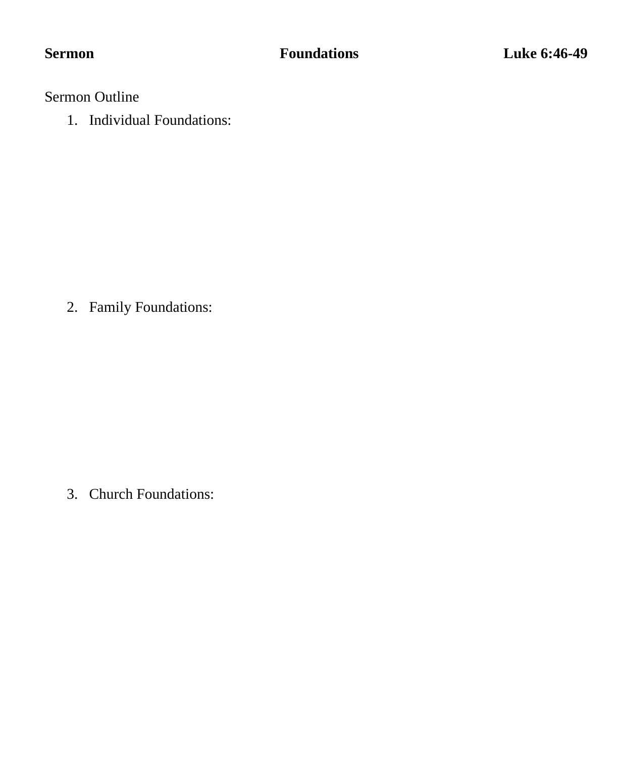Sermon Outline

1. Individual Foundations:

2. Family Foundations:

3. Church Foundations: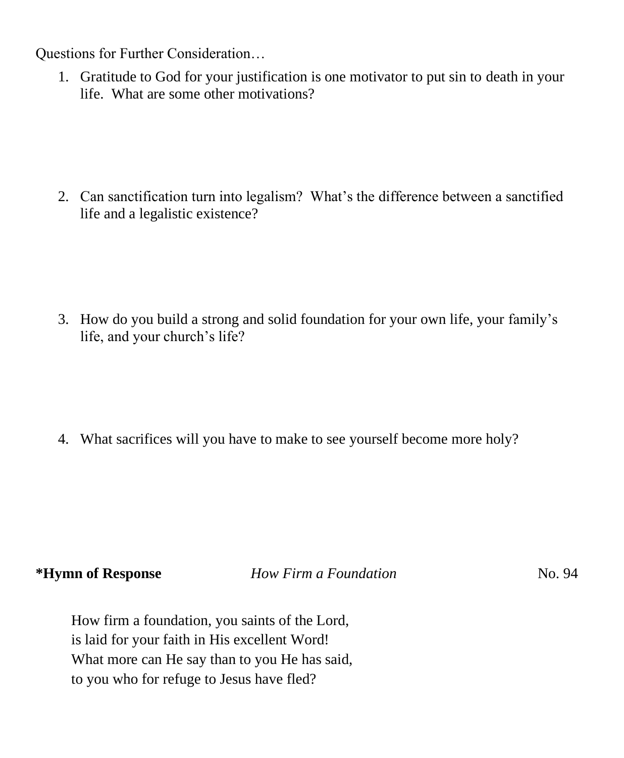Questions for Further Consideration…

1. Gratitude to God for your justification is one motivator to put sin to death in your life. What are some other motivations?

2. Can sanctification turn into legalism? What's the difference between a sanctified life and a legalistic existence?

3. How do you build a strong and solid foundation for your own life, your family's life, and your church's life?

4. What sacrifices will you have to make to see yourself become more holy?

**\*Hymn of Response** *How Firm a Foundation* No. 94

How firm a foundation, you saints of the Lord, is laid for your faith in His excellent Word! What more can He say than to you He has said, to you who for refuge to Jesus have fled?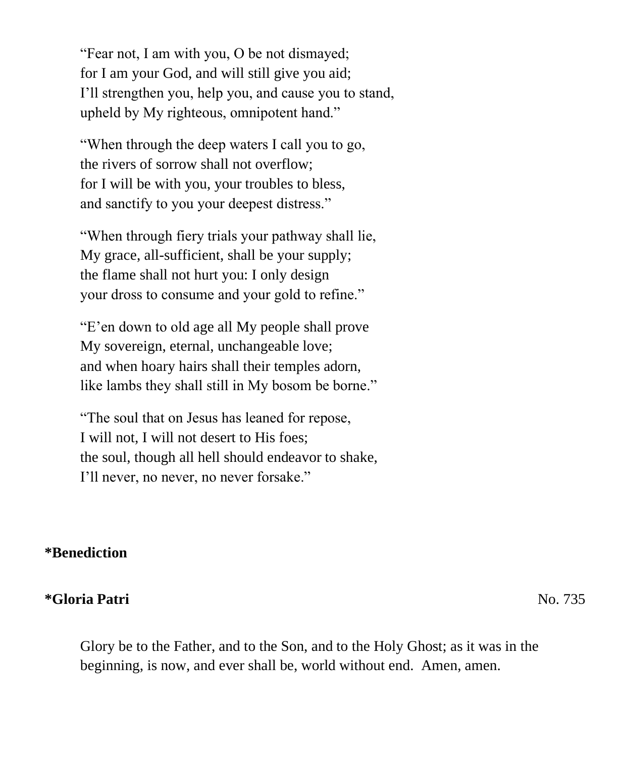"Fear not, I am with you, O be not dismayed; for I am your God, and will still give you aid; I'll strengthen you, help you, and cause you to stand, upheld by My righteous, omnipotent hand."

"When through the deep waters I call you to go, the rivers of sorrow shall not overflow; for I will be with you, your troubles to bless, and sanctify to you your deepest distress."

"When through fiery trials your pathway shall lie, My grace, all-sufficient, shall be your supply; the flame shall not hurt you: I only design your dross to consume and your gold to refine."

"E'en down to old age all My people shall prove My sovereign, eternal, unchangeable love; and when hoary hairs shall their temples adorn, like lambs they shall still in My bosom be borne."

"The soul that on Jesus has leaned for repose, I will not, I will not desert to His foes; the soul, though all hell should endeavor to shake, I'll never, no never, no never forsake."

#### **\*Benediction**

#### **\*Gloria Patri** No. 735

Glory be to the Father, and to the Son, and to the Holy Ghost; as it was in the beginning, is now, and ever shall be, world without end. Amen, amen.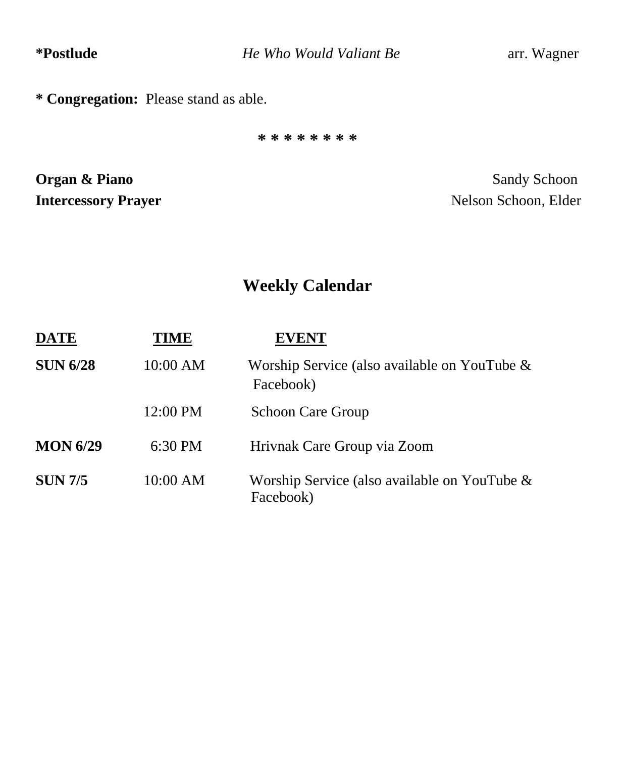**\*Postlude** *He Who Would Valiant Be*arr. Wagner

**\* Congregation:** Please stand as able.

**\* \* \* \* \* \* \* \***

**Organ & Piano** Sandy Schoon **Intercessory Prayer** Nelson Schoon, Elder

## **Weekly Calendar**

| <b>DATE</b>     | TIME              | <b>EVENT</b>                                                 |
|-----------------|-------------------|--------------------------------------------------------------|
| <b>SUN 6/28</b> | 10:00 AM          | Worship Service (also available on YouTube $\&$<br>Facebook) |
|                 | 12:00 PM          | <b>Schoon Care Group</b>                                     |
| <b>MON 6/29</b> | $6:30 \text{ PM}$ | Hrivnak Care Group via Zoom                                  |
| <b>SUN 7/5</b>  | 10:00 AM          | Worship Service (also available on YouTube &<br>Facebook)    |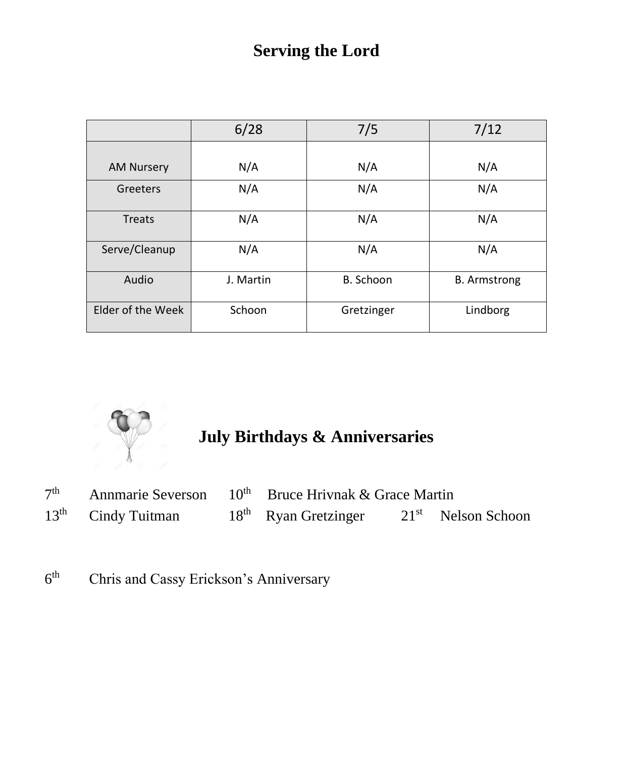## **Serving the Lord**

|                   | 6/28      | 7/5        | 7/12                |
|-------------------|-----------|------------|---------------------|
|                   |           |            |                     |
| <b>AM Nursery</b> | N/A       | N/A        | N/A                 |
| Greeters          | N/A       | N/A        | N/A                 |
| <b>Treats</b>     | N/A       | N/A        | N/A                 |
| Serve/Cleanup     | N/A       | N/A        | N/A                 |
| Audio             | J. Martin | B. Schoon  | <b>B.</b> Armstrong |
| Elder of the Week | Schoon    | Gretzinger | Lindborg            |



# **July Birthdays & Anniversaries**

| 7 <sup>th</sup> |                      | Annmarie Severson $10^{th}$ Bruce Hrivnak & Grace Martin |  |                      |
|-----------------|----------------------|----------------------------------------------------------|--|----------------------|
|                 | $13th$ Cindy Tuitman | $18th$ Ryan Gretzinger                                   |  | $21st$ Nelson Schoon |

 $6<sup>th</sup>$ Chris and Cassy Erickson's Anniversary